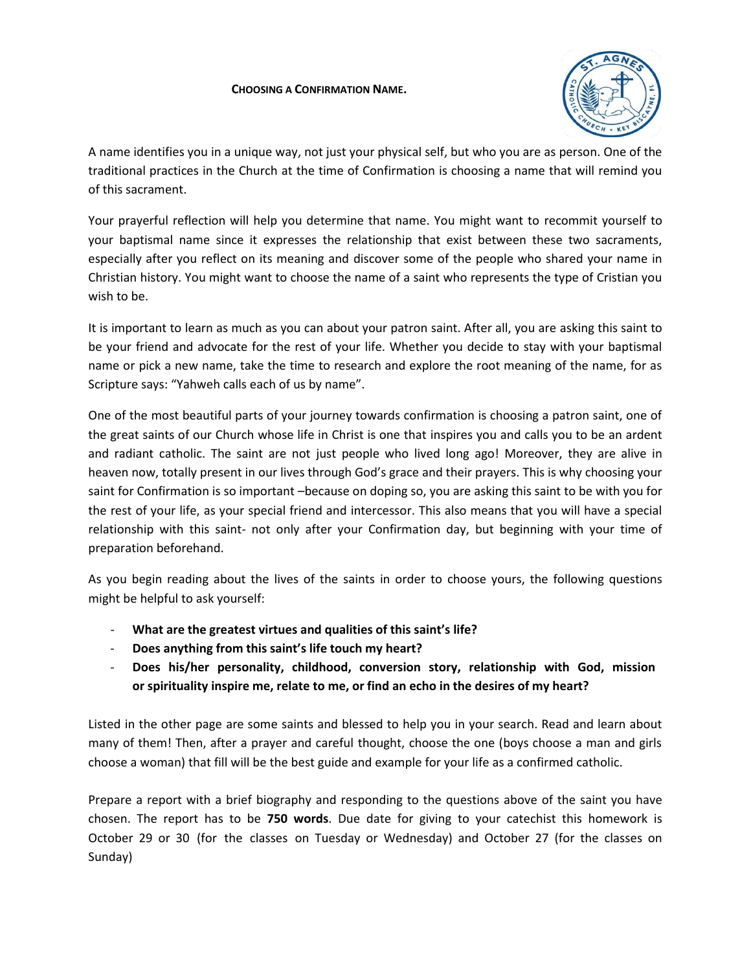## **CHOOSING A CONFIRMATION NAME.**



A name identifies you in a unique way, not just your physical self, but who you are as person. One of the traditional practices in the Church at the time of Confirmation is choosing a name that will remind you of this sacrament.

Your prayerful reflection will help you determine that name. You might want to recommit yourself to your baptismal name since it expresses the relationship that exist between these two sacraments, especially after you reflect on its meaning and discover some of the people who shared your name in Christian history. You might want to choose the name of a saint who represents the type of Cristian you wish to be.

It is important to learn as much as you can about your patron saint. After all, you are asking this saint to be your friend and advocate for the rest of your life. Whether you decide to stay with your baptismal name or pick a new name, take the time to research and explore the root meaning of the name, for as Scripture says: "Yahweh calls each of us by name".

One of the most beautiful parts of your journey towards confirmation is choosing a patron saint, one of the great saints of our Church whose life in Christ is one that inspires you and calls you to be an ardent and radiant catholic. The saint are not just people who lived long ago! Moreover, they are alive in heaven now, totally present in our lives through God's grace and their prayers. This is why choosing your saint for Confirmation is so important –because on doping so, you are asking this saint to be with you for the rest of your life, as your special friend and intercessor. This also means that you will have a special relationship with this saint- not only after your Confirmation day, but beginning with your time of preparation beforehand.

As you begin reading about the lives of the saints in order to choose yours, the following questions might be helpful to ask yourself:

- **What are the greatest virtues and qualities of this saint's life?**
- **Does anything from this saint's life touch my heart?**
- **Does his/her personality, childhood, conversion story, relationship with God, mission or spirituality inspire me, relate to me, or find an echo in the desires of my heart?**

Listed in the other page are some saints and blessed to help you in your search. Read and learn about many of them! Then, after a prayer and careful thought, choose the one (boys choose a man and girls choose a woman) that fill will be the best guide and example for your life as a confirmed catholic.

Prepare a report with a brief biography and responding to the questions above of the saint you have chosen. The report has to be **750 words**. Due date for giving to your catechist this homework is October 29 or 30 (for the classes on Tuesday or Wednesday) and October 27 (for the classes on Sunday)